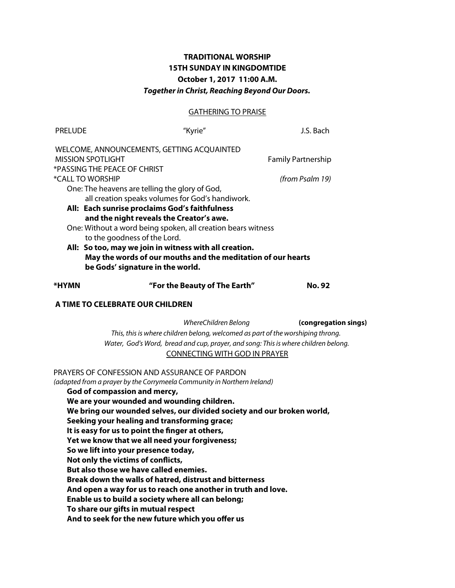# **TRADITIONAL WORSHIP 15TH SUNDAY IN KINGDOMTIDE October 1, 2017 11:00 A.M.** *Together in Christ, Reaching Beyond Our Doors.*

## GATHERING TO PRAISE

| <b>PRELUDE</b>                                               | "Kyrie"                                                | J.S. Bach     |  |  |  |
|--------------------------------------------------------------|--------------------------------------------------------|---------------|--|--|--|
|                                                              | WELCOME, ANNOUNCEMENTS, GETTING ACQUAINTED             |               |  |  |  |
|                                                              | <b>MISSION SPOTLIGHT</b><br><b>Family Partnership</b>  |               |  |  |  |
|                                                              | *PASSING THE PEACE OF CHRIST                           |               |  |  |  |
| *CALL TO WORSHIP<br>(from Psalm 19)                          |                                                        |               |  |  |  |
|                                                              | One: The heavens are telling the glory of God,         |               |  |  |  |
|                                                              | all creation speaks volumes for God's handiwork.       |               |  |  |  |
| All: Each sunrise proclaims God's faithfulness               |                                                        |               |  |  |  |
|                                                              | and the night reveals the Creator's awe.               |               |  |  |  |
| One: Without a word being spoken, all creation bears witness |                                                        |               |  |  |  |
|                                                              | to the goodness of the Lord.                           |               |  |  |  |
|                                                              | All: So too, may we join in witness with all creation. |               |  |  |  |
| May the words of our mouths and the meditation of our hearts |                                                        |               |  |  |  |
|                                                              | be Gods' signature in the world.                       |               |  |  |  |
| *HYMN                                                        | "For the Beauty of The Earth"                          | <b>No. 92</b> |  |  |  |
| A TIME TO CELEBRATE OUR CHILDREN                             |                                                        |               |  |  |  |
|                                                              | WhereChildren Belong                                   | (congregati   |  |  |  |

 *WhereChildren Belong* **(congregation sings)** *This, this is where children belong, welcomed as part of the worshiping throng. Water, God's Word, bread and cup, prayer, and song: This is where children belong.* CONNECTING WITH GOD IN PRAYER

PRAYERS OF CONFESSION AND ASSURANCE OF PARDON

*(adapted from a prayer by the Corrymeela Community in Northern Ireland)*

**God of compassion and mercy,**

**We are your wounded and wounding children.**

**We bring our wounded selves, our divided society and our broken world,**

**Seeking your healing and transforming grace;**

**It is easy for us to point the fnger at others,**

**Yet we know that we all need your forgiveness;**

**So we lift into your presence today,**

**Not only the victims of conficts,**

**But also those we have called enemies.**

**Break down the walls of hatred, distrust and bitterness**

**And open a way for us to reach one another in truth and love.**

**Enable us to build a society where all can belong;**

**To share our gifts in mutual respect**

**And to seek for the new future which you ofer us**